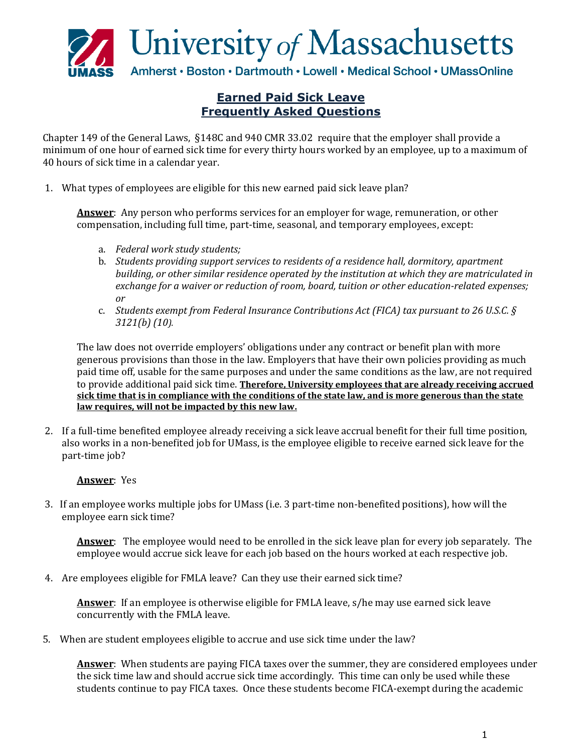

## **Earned Paid Sick Leave Frequently Asked Questions**

Chapter 149 of the General Laws, §148C and 940 CMR 33.02 require that the employer shall provide a minimum of one hour of earned sick time for every thirty hours worked by an employee, up to a maximum of 40 hours of sick time in a calendar year.

1. What types of employees are eligible for this new earned paid sick leave plan?

**Answer**: Any person who performs services for an employer for wage, remuneration, or other compensation, including full time, part-time, seasonal, and temporary employees, except:

- a. *Federal work study students;*
- b. *Students providing support services to residents of a residence hall, dormitory, apartment building, or other similar residence operated by the institution at which they are matriculated in exchange for a waiver or reduction of room, board, tuition or other education-related expenses; or*
- c. *Students exempt from Federal Insurance Contributions Act (FICA) tax pursuant to 26 U.S.C. § 3121(b) (10).*

The law does not override employers' obligations under any contract or benefit plan with more generous provisions than those in the law. Employers that have their own policies providing as much paid time off, usable for the same purposes and under the same conditions as the law, are not required to provide additional paid sick time. **Therefore, University employees that are already receiving accrued sick time that is in compliance with the conditions of the state law, and is more generous than the state law requires, will not be impacted by this new law.**

2. If a full-time benefited employee already receiving a sick leave accrual benefit for their full time position, also works in a non-benefited job for UMass, is the employee eligible to receive earned sick leave for the part-time job?

## **Answer**: Yes

3. If an employee works multiple jobs for UMass (i.e. 3 part-time non-benefited positions), how will the employee earn sick time?

**Answer**: The employee would need to be enrolled in the sick leave plan for every job separately. The employee would accrue sick leave for each job based on the hours worked at each respective job.

4. Are employees eligible for FMLA leave? Can they use their earned sick time?

 **Answer**: If an employee is otherwise eligible for FMLA leave, s/he may use earned sick leave concurrently with the FMLA leave.

5. When are student employees eligible to accrue and use sick time under the law?

**Answer**: When students are paying FICA taxes over the summer, they are considered employees under the sick time law and should accrue sick time accordingly. This time can only be used while these students continue to pay FICA taxes. Once these students become FICA-exempt during the academic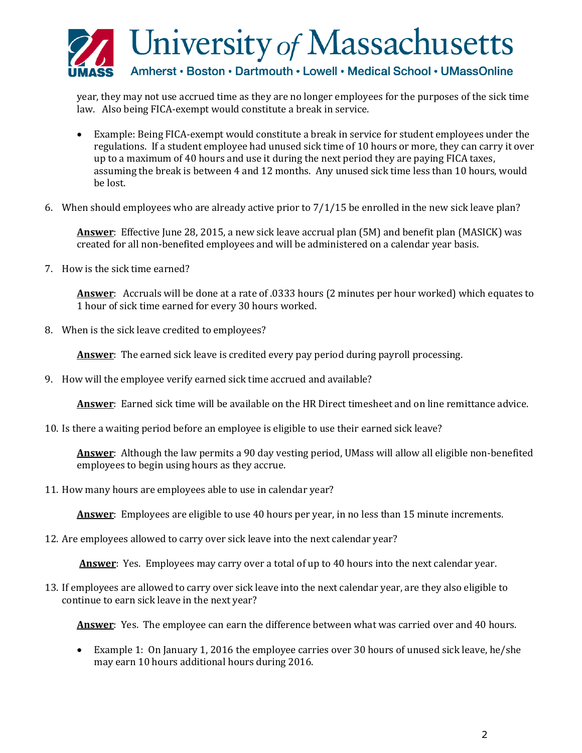

year, they may not use accrued time as they are no longer employees for the purposes of the sick time law. Also being FICA-exempt would constitute a break in service.

- Example: Being FICA-exempt would constitute a break in service for student employees under the regulations. If a student employee had unused sick time of 10 hours or more, they can carry it over up to a maximum of 40 hours and use it during the next period they are paying FICA taxes, assuming the break is between 4 and 12 months. Any unused sick time less than 10 hours, would be lost.
- 6. When should employees who are already active prior to 7/1/15 be enrolled in the new sick leave plan?

**Answer**: Effective June 28, 2015, a new sick leave accrual plan (5M) and benefit plan (MASICK) was created for all non-benefited employees and will be administered on a calendar year basis.

7. How is the sick time earned?

**Answer**: Accruals will be done at a rate of .0333 hours (2 minutes per hour worked) which equates to 1 hour of sick time earned for every 30 hours worked.

8. When is the sick leave credited to employees?

**Answer**: The earned sick leave is credited every pay period during payroll processing.

9. How will the employee verify earned sick time accrued and available?

**Answer**: Earned sick time will be available on the HR Direct timesheet and on line remittance advice.

10. Is there a waiting period before an employee is eligible to use their earned sick leave?

**Answer**: Although the law permits a 90 day vesting period, UMass will allow all eligible non-benefited employees to begin using hours as they accrue.

11. How many hours are employees able to use in calendar year?

**Answer**: Employees are eligible to use 40 hours per year, in no less than 15 minute increments.

12. Are employees allowed to carry over sick leave into the next calendar year?

**Answer**: Yes. Employees may carry over a total of up to 40 hours into the next calendar year.

13. If employees are allowed to carry over sick leave into the next calendar year, are they also eligible to continue to earn sick leave in the next year?

**Answer**: Yes. The employee can earn the difference between what was carried over and 40 hours.

 Example 1: On January 1, 2016 the employee carries over 30 hours of unused sick leave, he/she may earn 10 hours additional hours during 2016.